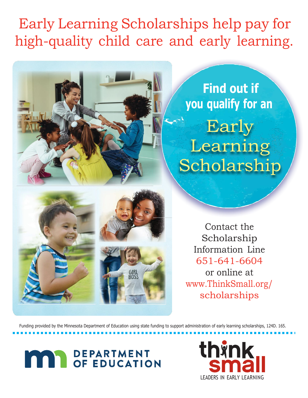## Early Learning Scholarships help pay for high-quality child care and early learning.



**Find out if you qualify for an** Early Learning Scholarship

Contact the Scholarship Information Line 651-641-6604 or online at [www.ThinkSmall.org/](http://www.thinksmall.org/) scholarships

Funding provided by the Minnesota Department of Education using state funding to support administration of early learning scholarships, 124D. 165.

# **DEPARTMENT<br>OF EDUCATION**